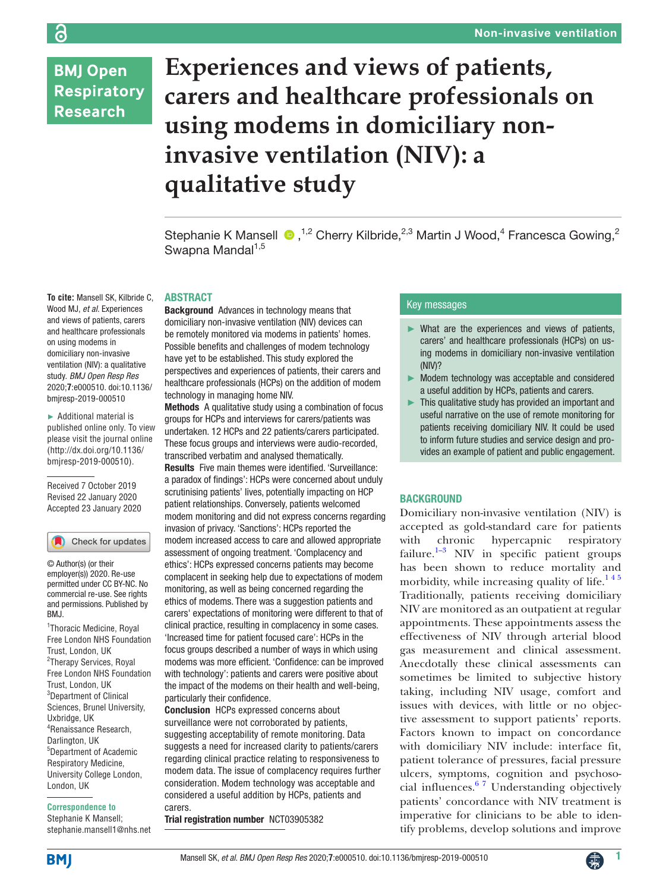# **BMJ Open Respiratory Research**

# **Experiences and views of patients, carers and healthcare professionals on using modems in domiciliary noninvasive ventilation (NIV): a qualitative study**

Stephanie K Mansell  $\bullet$ , <sup>1,2</sup> Cherry Kilbride, <sup>2,3</sup> Martin J Wood, <sup>4</sup> Francesca Gowing, <sup>2</sup> Swapna Mandal<sup>1,5</sup>

# ABSTRACT

Background Advances in technology means that domiciliary non-invasive ventilation (NIV) devices can be remotely monitored via modems in patients' homes. Possible benefits and challenges of modem technology have yet to be established. This study explored the perspectives and experiences of patients, their carers and healthcare professionals (HCPs) on the addition of modem technology in managing home NIV.

Methods A qualitative study using a combination of focus groups for HCPs and interviews for carers/patients was undertaken. 12 HCPs and 22 patients/carers participated. These focus groups and interviews were audio-recorded, transcribed verbatim and analysed thematically.

Results Five main themes were identified. 'Surveillance: a paradox of findings': HCPs were concerned about unduly scrutinising patients' lives, potentially impacting on HCP patient relationships. Conversely, patients welcomed modem monitoring and did not express concerns regarding invasion of privacy. 'Sanctions': HCPs reported the modem increased access to care and allowed appropriate assessment of ongoing treatment. 'Complacency and ethics': HCPs expressed concerns patients may become complacent in seeking help due to expectations of modem monitoring, as well as being concerned regarding the ethics of modems. There was a suggestion patients and carers' expectations of monitoring were different to that of clinical practice, resulting in complacency in some cases. 'Increased time for patient focused care': HCPs in the focus groups described a number of ways in which using modems was more efficient. 'Confidence: can be improved with technology': patients and carers were positive about the impact of the modems on their health and well-being, particularly their confidence.

Conclusion HCPs expressed concerns about surveillance were not corroborated by patients, suggesting acceptability of remote monitoring. Data suggests a need for increased clarity to patients/carers regarding clinical practice relating to responsiveness to modem data. The issue of complacency requires further consideration. Modem technology was acceptable and considered a useful addition by HCPs, patients and carers.

Trial registration number <NCT03905382>

# Key messages

- ► What are the experiences and views of patients, carers' and healthcare professionals (HCPs) on using modems in domiciliary non-invasive ventilation (NIV)?
- ► Modem technology was acceptable and considered a useful addition by HCPs, patients and carers.
- ► This qualitative study has provided an important and useful narrative on the use of remote monitoring for patients receiving domiciliary NIV. It could be used to inform future studies and service design and provides an example of patient and public engagement.

# **BACKGROUND**

Domiciliary non-invasive ventilation (NIV) is accepted as gold-standard care for patients with chronic hypercapnic respiratory failure. $1-3$  NIV in specific patient groups has been shown to reduce mortality and morbidity, while increasing quality of life. $145$ Traditionally, patients receiving domiciliary NIV are monitored as an outpatient at regular appointments. These appointments assess the effectiveness of NIV through arterial blood gas measurement and clinical assessment. Anecdotally these clinical assessments can sometimes be limited to subjective history taking, including NIV usage, comfort and issues with devices, with little or no objective assessment to support patients' reports. Factors known to impact on concordance with domiciliary NIV include: interface fit, patient tolerance of pressures, facial pressure ulcers, symptoms, cognition and psychosocial influences. $67$  Understanding objectively patients' concordance with NIV treatment is imperative for clinicians to be able to identify problems, develop solutions and improve

**To cite:** Mansell SK, Kilbride C, Wood MJ, *et al*. Experiences and views of patients, carers and healthcare professionals on using modems in domiciliary non-invasive ventilation (NIV): a qualitative study. *BMJ Open Resp Res* 2020;**7**:e000510. doi:10.1136/ bmjresp-2019-000510

► Additional material is published online only. To view please visit the journal online (http://dx.doi.org/10.1136/ bmjresp-2019-000510).

Received 7 October 2019 Revised 22 January 2020 Accepted 23 January 2020

Check for updates

© Author(s) (or their employer(s)) 2020. Re-use permitted under CC BY-NC. No commercial re-use. See rights and permissions. Published by BMJ.

1 Thoracic Medicine, Royal Free London NHS Foundation Trust, London, UK <sup>2</sup>Therapy Services, Royal Free London NHS Foundation Trust, London, UK 3 Department of Clinical Sciences, Brunel University, Uxbridge, UK 4 Renaissance Research, Darlington, UK 5 Department of Academic Respiratory Medicine, University College London, London, UK

**Correspondence to** Stephanie K Mansell; stephanie.mansell1@nhs.net

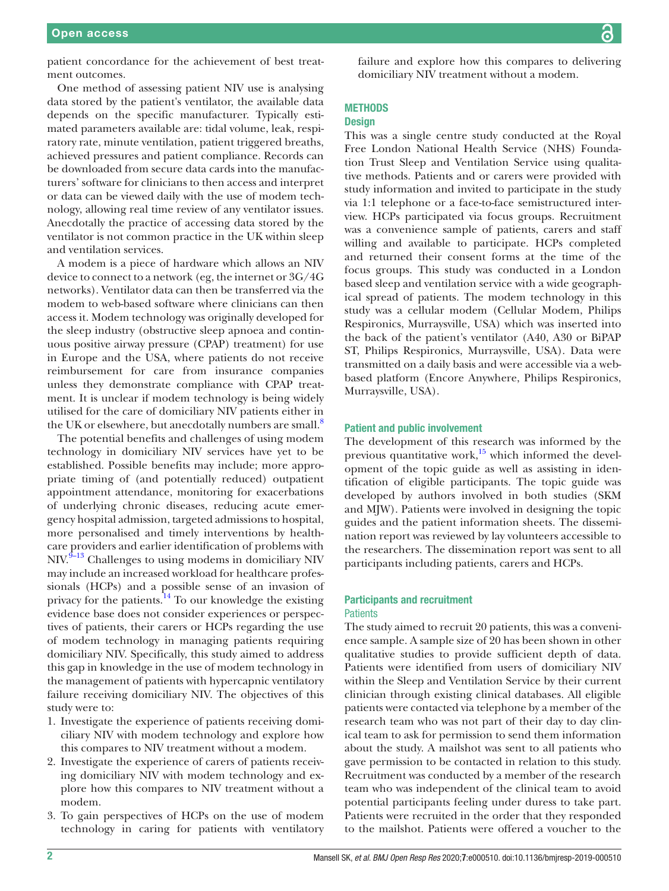patient concordance for the achievement of best treatment outcomes.

One method of assessing patient NIV use is analysing data stored by the patient's ventilator, the available data depends on the specific manufacturer. Typically estimated parameters available are: tidal volume, leak, respiratory rate, minute ventilation, patient triggered breaths, achieved pressures and patient compliance. Records can be downloaded from secure data cards into the manufacturers' software for clinicians to then access and interpret or data can be viewed daily with the use of modem technology, allowing real time review of any ventilator issues. Anecdotally the practice of accessing data stored by the ventilator is not common practice in the UK within sleep and ventilation services.

A modem is a piece of hardware which allows an NIV device to connect to a network (eg, the internet or 3G/4G networks). Ventilator data can then be transferred via the modem to web-based software where clinicians can then access it. Modem technology was originally developed for the sleep industry (obstructive sleep apnoea and continuous positive airway pressure (CPAP) treatment) for use in Europe and the USA, where patients do not receive reimbursement for care from insurance companies unless they demonstrate compliance with CPAP treatment. It is unclear if modem technology is being widely utilised for the care of domiciliary NIV patients either in the UK or elsewhere, but anecdotally numbers are small.<sup>[8](#page-8-2)</sup>

The potential benefits and challenges of using modem technology in domiciliary NIV services have yet to be established. Possible benefits may include; more appropriate timing of (and potentially reduced) outpatient appointment attendance, monitoring for exacerbations of underlying chronic diseases, reducing acute emergency hospital admission, targeted admissions to hospital, more personalised and timely interventions by healthcare providers and earlier identification of problems with NIV.<sup>9–13</sup> Challenges to using modems in domiciliary NIV may include an increased workload for healthcare professionals (HCPs) and a possible sense of an invasion of privacy for the patients.<sup>[14](#page-8-4)</sup> To our knowledge the existing evidence base does not consider experiences or perspectives of patients, their carers or HCPs regarding the use of modem technology in managing patients requiring domiciliary NIV. Specifically, this study aimed to address this gap in knowledge in the use of modem technology in the management of patients with hypercapnic ventilatory failure receiving domiciliary NIV. The objectives of this study were to:

- 1. Investigate the experience of patients receiving domiciliary NIV with modem technology and explore how this compares to NIV treatment without a modem.
- 2. Investigate the experience of carers of patients receiving domiciliary NIV with modem technology and explore how this compares to NIV treatment without a modem.
- 3. To gain perspectives of HCPs on the use of modem technology in caring for patients with ventilatory

failure and explore how this compares to delivering domiciliary NIV treatment without a modem.

# **METHODS**

# **Design**

This was a single centre study conducted at the Royal Free London National Health Service (NHS) Foundation Trust Sleep and Ventilation Service using qualitative methods. Patients and or carers were provided with study information and invited to participate in the study via 1:1 telephone or a face-to-face semistructured interview. HCPs participated via focus groups. Recruitment was a convenience sample of patients, carers and staff willing and available to participate. HCPs completed and returned their consent forms at the time of the focus groups. This study was conducted in a London based sleep and ventilation service with a wide geographical spread of patients. The modem technology in this study was a cellular modem (Cellular Modem, Philips Respironics, Murraysville, USA) which was inserted into the back of the patient's ventilator (A40, A30 or BiPAP ST, Philips Respironics, Murraysville, USA). Data were transmitted on a daily basis and were accessible via a webbased platform (Encore Anywhere, Philips Respironics, Murraysville, USA).

# Patient and public involvement

The development of this research was informed by the previous quantitative work, $15$  which informed the development of the topic guide as well as assisting in identification of eligible participants. The topic guide was developed by authors involved in both studies (SKM and MJW). Patients were involved in designing the topic guides and the patient information sheets. The dissemination report was reviewed by lay volunteers accessible to the researchers. The dissemination report was sent to all participants including patients, carers and HCPs.

# Participants and recruitment **Patients**

The study aimed to recruit 20 patients, this was a convenience sample. A sample size of 20 has been shown in other qualitative studies to provide sufficient depth of data. Patients were identified from users of domiciliary NIV within the Sleep and Ventilation Service by their current clinician through existing clinical databases. All eligible patients were contacted via telephone by a member of the research team who was not part of their day to day clinical team to ask for permission to send them information about the study. A mailshot was sent to all patients who gave permission to be contacted in relation to this study. Recruitment was conducted by a member of the research team who was independent of the clinical team to avoid potential participants feeling under duress to take part. Patients were recruited in the order that they responded to the mailshot. Patients were offered a voucher to the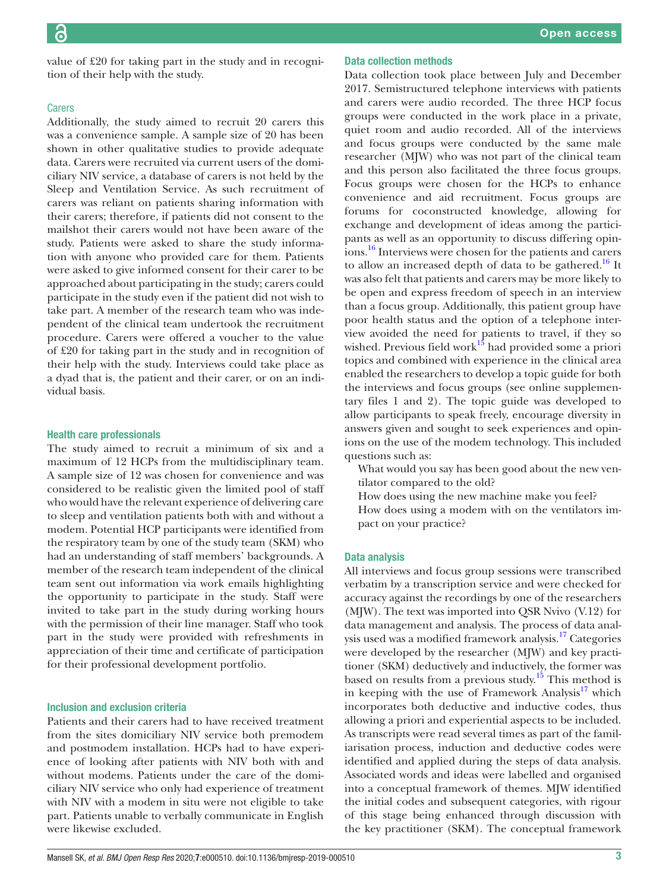value of £20 for taking part in the study and in recognition of their help with the study.

# **Carers**

Additionally, the study aimed to recruit 20 carers this was a convenience sample. A sample size of 20 has been shown in other qualitative studies to provide adequate data. Carers were recruited via current users of the domiciliary NIV service, a database of carers is not held by the Sleep and Ventilation Service. As such recruitment of carers was reliant on patients sharing information with their carers; therefore, if patients did not consent to the mailshot their carers would not have been aware of the study. Patients were asked to share the study information with anyone who provided care for them. Patients were asked to give informed consent for their carer to be approached about participating in the study; carers could participate in the study even if the patient did not wish to take part. A member of the research team who was independent of the clinical team undertook the recruitment procedure. Carers were offered a voucher to the value of £20 for taking part in the study and in recognition of their help with the study. Interviews could take place as a dyad that is, the patient and their carer, or on an individual basis.

# Health care professionals

The study aimed to recruit a minimum of six and a maximum of 12 HCPs from the multidisciplinary team. A sample size of 12 was chosen for convenience and was considered to be realistic given the limited pool of staff who would have the relevant experience of delivering care to sleep and ventilation patients both with and without a modem. Potential HCP participants were identified from the respiratory team by one of the study team (SKM) who had an understanding of staff members' backgrounds. A member of the research team independent of the clinical team sent out information via work emails highlighting the opportunity to participate in the study. Staff were invited to take part in the study during working hours with the permission of their line manager. Staff who took part in the study were provided with refreshments in appreciation of their time and certificate of participation for their professional development portfolio.

# Inclusion and exclusion criteria

Patients and their carers had to have received treatment from the sites domiciliary NIV service both premodem and postmodem installation. HCPs had to have experience of looking after patients with NIV both with and without modems. Patients under the care of the domiciliary NIV service who only had experience of treatment with NIV with a modem in situ were not eligible to take part. Patients unable to verbally communicate in English were likewise excluded.

# Data collection methods

Data collection took place between July and December 2017. Semistructured telephone interviews with patients and carers were audio recorded. The three HCP focus groups were conducted in the work place in a private, quiet room and audio recorded. All of the interviews and focus groups were conducted by the same male researcher (MJW) who was not part of the clinical team and this person also facilitated the three focus groups. Focus groups were chosen for the HCPs to enhance convenience and aid recruitment. Focus groups are forums for coconstructed knowledge, allowing for exchange and development of ideas among the participants as well as an opportunity to discuss differing opinions[.16](#page-8-6) Interviews were chosen for the patients and carers to allow an increased depth of data to be gathered.<sup>16</sup> It was also felt that patients and carers may be more likely to be open and express freedom of speech in an interview than a focus group. Additionally, this patient group have poor health status and the option of a telephone interview avoided the need for patients to travel, if they so wished. Previous field work $15$  had provided some a priori topics and combined with experience in the clinical area enabled the researchers to develop a topic guide for both the interviews and focus groups (see [online supplemen](https://dx.doi.org/10.1136/bmjresp-2019-000510)[tary files 1 and 2](https://dx.doi.org/10.1136/bmjresp-2019-000510)). The topic guide was developed to allow participants to speak freely, encourage diversity in answers given and sought to seek experiences and opinions on the use of the modem technology. This included questions such as:

What would you say has been good about the new ventilator compared to the old?

How does using the new machine make you feel? How does using a modem with on the ventilators im-

pact on your practice?

# Data analysis

All interviews and focus group sessions were transcribed verbatim by a transcription service and were checked for accuracy against the recordings by one of the researchers (MJW). The text was imported into QSR Nvivo (V.12) for data management and analysis. The process of data analysis used was a modified framework analysis.<sup>17</sup> Categories were developed by the researcher (MJW) and key practitioner (SKM) deductively and inductively, the former was based on results from a previous study.<sup>15</sup> This method is in keeping with the use of Framework Analysis $17$  which incorporates both deductive and inductive codes, thus allowing a priori and experiential aspects to be included. As transcripts were read several times as part of the familiarisation process, induction and deductive codes were identified and applied during the steps of data analysis. Associated words and ideas were labelled and organised into a conceptual framework of themes. MJW identified the initial codes and subsequent categories, with rigour of this stage being enhanced through discussion with the key practitioner (SKM). The conceptual framework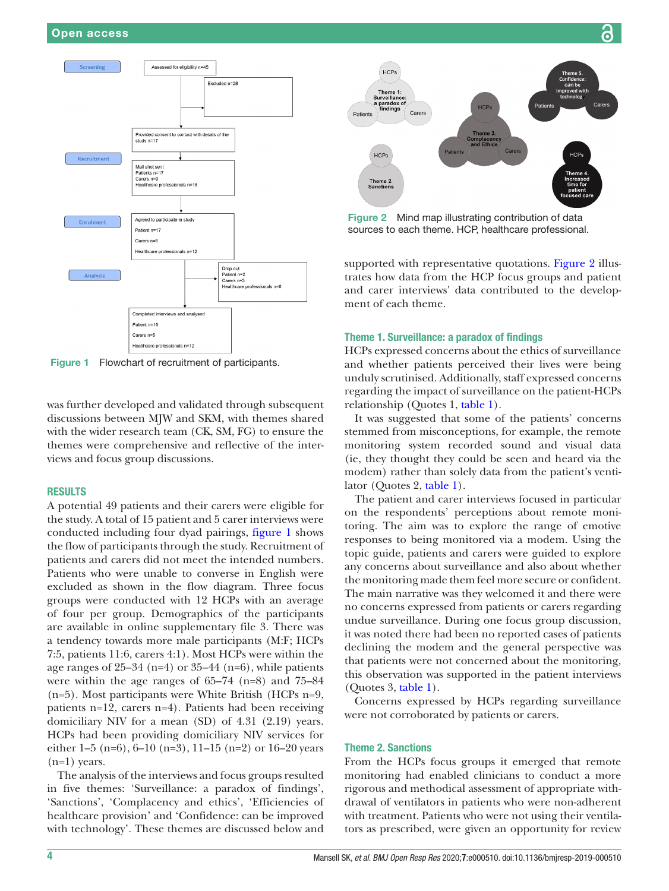

<span id="page-3-0"></span>Figure 1 Flowchart of recruitment of participants.

was further developed and validated through subsequent discussions between MJW and SKM, with themes shared with the wider research team (CK, SM, FG) to ensure the themes were comprehensive and reflective of the interviews and focus group discussions.

#### **RESULTS**

A potential 49 patients and their carers were eligible for the study. A total of 15 patient and 5 carer interviews were conducted including four dyad pairings, [figure](#page-3-0) 1 shows the flow of participants through the study. Recruitment of patients and carers did not meet the intended numbers. Patients who were unable to converse in English were excluded as shown in the flow diagram. Three focus groups were conducted with 12 HCPs with an average of four per group. Demographics of the participants are available in [online supplementary file 3.](https://dx.doi.org/10.1136/bmjresp-2019-000510) There was a tendency towards more male participants (M:F; HCPs 7:5, patients 11:6, carers 4:1). Most HCPs were within the age ranges of 25–34 (n=4) or 35–44 (n=6), while patients were within the age ranges of 65–74 (n=8) and 75–84 (n=5). Most participants were White British (HCPs n=9, patients n=12, carers n=4). Patients had been receiving domiciliary NIV for a mean (SD) of 4.31 (2.19) years. HCPs had been providing domiciliary NIV services for either 1–5 (n=6), 6–10 (n=3), 11–15 (n=2) or 16–20 years (n=1) years.

The analysis of the interviews and focus groups resulted in five themes: 'Surveillance: a paradox of findings', 'Sanctions', 'Complacency and ethics', 'Efficiencies of healthcare provision' and 'Confidence: can be improved with technology'. These themes are discussed below and



<span id="page-3-1"></span>Figure 2 Mind map illustrating contribution of data sources to each theme. HCP, healthcare professional.

supported with representative quotations. [Figure](#page-3-1) 2 illustrates how data from the HCP focus groups and patient and carer interviews' data contributed to the development of each theme.

#### Theme 1. Surveillance: a paradox of findings

HCPs expressed concerns about the ethics of surveillance and whether patients perceived their lives were being unduly scrutinised. Additionally, staff expressed concerns regarding the impact of surveillance on the patient-HCPs relationship (Quotes 1, [table](#page-4-0) 1).

It was suggested that some of the patients' concerns stemmed from misconceptions, for example, the remote monitoring system recorded sound and visual data (ie, they thought they could be seen and heard via the modem) rather than solely data from the patient's ventilator (Quotes 2, [table](#page-4-0) 1).

The patient and carer interviews focused in particular on the respondents' perceptions about remote monitoring. The aim was to explore the range of emotive responses to being monitored via a modem. Using the topic guide, patients and carers were guided to explore any concerns about surveillance and also about whether the monitoring made them feel more secure or confident. The main narrative was they welcomed it and there were no concerns expressed from patients or carers regarding undue surveillance. During one focus group discussion, it was noted there had been no reported cases of patients declining the modem and the general perspective was that patients were not concerned about the monitoring, this observation was supported in the patient interviews (Quotes 3, [table](#page-4-0) 1).

Concerns expressed by HCPs regarding surveillance were not corroborated by patients or carers.

# Theme 2. Sanctions

From the HCPs focus groups it emerged that remote monitoring had enabled clinicians to conduct a more rigorous and methodical assessment of appropriate withdrawal of ventilators in patients who were non-adherent with treatment. Patients who were not using their ventilators as prescribed, were given an opportunity for review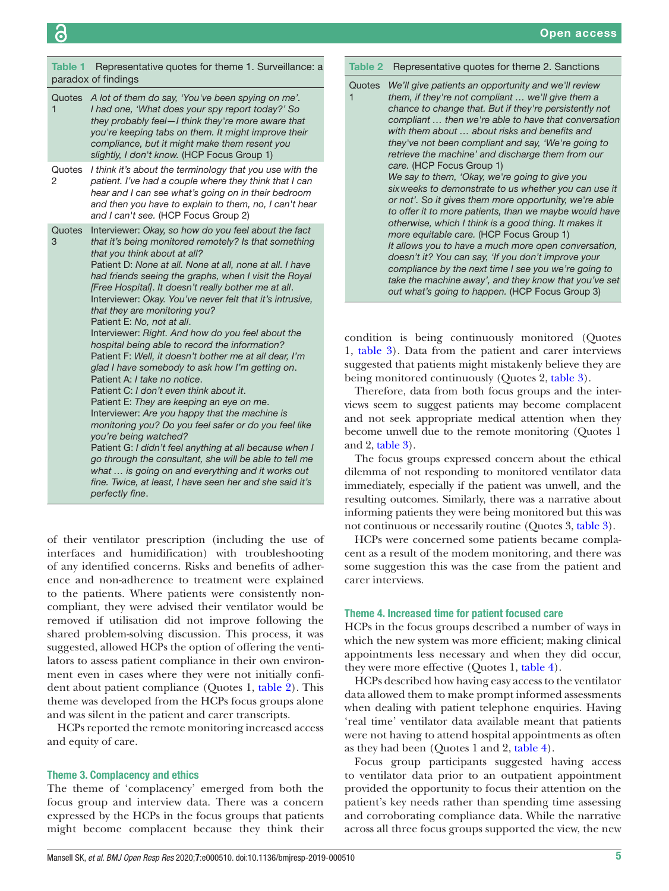<span id="page-4-0"></span>

| Table 1 Representative quotes for theme 1. Surveillance: a<br>paradox of findings |                                                                                                                                                                                                                                                                                                                                                                                                                                                                                                                                                                                                                                                                                                                                                                                                                                                                                                                                                                                                                                                                                                                                                                                                 |  |
|-----------------------------------------------------------------------------------|-------------------------------------------------------------------------------------------------------------------------------------------------------------------------------------------------------------------------------------------------------------------------------------------------------------------------------------------------------------------------------------------------------------------------------------------------------------------------------------------------------------------------------------------------------------------------------------------------------------------------------------------------------------------------------------------------------------------------------------------------------------------------------------------------------------------------------------------------------------------------------------------------------------------------------------------------------------------------------------------------------------------------------------------------------------------------------------------------------------------------------------------------------------------------------------------------|--|
| Quotes<br>1                                                                       | A lot of them do say, 'You've been spying on me'.<br>I had one, 'What does your spy report today?' So<br>they probably feel-I think they're more aware that<br>you're keeping tabs on them. It might improve their<br>compliance, but it might make them resent you<br>slightly, I don't know. (HCP Focus Group 1)                                                                                                                                                                                                                                                                                                                                                                                                                                                                                                                                                                                                                                                                                                                                                                                                                                                                              |  |
| Quotes<br>2                                                                       | I think it's about the terminology that you use with the<br>patient. I've had a couple where they think that I can<br>hear and I can see what's going on in their bedroom<br>and then you have to explain to them, no, I can't hear<br>and I can't see. (HCP Focus Group 2)                                                                                                                                                                                                                                                                                                                                                                                                                                                                                                                                                                                                                                                                                                                                                                                                                                                                                                                     |  |
| Quotes<br>3                                                                       | Interviewer: Okay, so how do you feel about the fact<br>that it's being monitored remotely? Is that something<br>that you think about at all?<br>Patient D: None at all. None at all, none at all. I have<br>had friends seeing the graphs, when I visit the Royal<br>[Free Hospital]. It doesn't really bother me at all.<br>Interviewer: Okay. You've never felt that it's intrusive,<br>that they are monitoring you?<br>Patient E: No, not at all.<br>Interviewer: Right. And how do you feel about the<br>hospital being able to record the information?<br>Patient F: Well, it doesn't bother me at all dear, I'm<br>glad I have somebody to ask how I'm getting on.<br>Patient A: I take no notice.<br>Patient C: I don't even think about it.<br>Patient E: They are keeping an eye on me.<br>Interviewer: Are you happy that the machine is<br>monitoring you? Do you feel safer or do you feel like<br>you're being watched?<br>Patient G: I didn't feel anything at all because when I<br>go through the consultant, she will be able to tell me<br>what  is going on and everything and it works out<br>fine. Twice, at least, I have seen her and she said it's<br>perfectly fine. |  |

of their ventilator prescription (including the use of interfaces and humidification) with troubleshooting of any identified concerns. Risks and benefits of adherence and non-adherence to treatment were explained to the patients. Where patients were consistently noncompliant, they were advised their ventilator would be removed if utilisation did not improve following the shared problem-solving discussion. This process, it was suggested, allowed HCPs the option of offering the ventilators to assess patient compliance in their own environment even in cases where they were not initially confident about patient compliance (Quotes 1, [table](#page-4-1) 2). This theme was developed from the HCPs focus groups alone and was silent in the patient and carer transcripts.

HCPs reported the remote monitoring increased access and equity of care.

#### Theme 3. Complacency and ethics

The theme of 'complacency' emerged from both the focus group and interview data. There was a concern expressed by the HCPs in the focus groups that patients might become complacent because they think their

#### <span id="page-4-1"></span>Table 2 Representative quotes for theme 2. Sanctions

Quotes *We'll give patients an opportunity and we'll review*  1 *them, if they're not compliant … we'll give them a chance to change that. But if they're persistently not compliant … then we're able to have that conversation with them about … about risks and benefits and they've not been compliant and say, 'We're going to retrieve the machine' and discharge them from our care.* (HCP Focus Group 1) *We say to them, 'Okay, we're going to give you sixweeks to demonstrate to us whether you can use it or not'. So it gives them more opportunity, we're able to offer it to more patients, than we maybe would have otherwise, which I think is a good thing. It makes it more equitable care.* (HCP Focus Group 1) *It allows you to have a much more open conversation, doesn't it? You can say, 'If you don't improve your compliance by the next time I see you we're going to take the machine away', and they know that you've set out what's going to happen.* (HCP Focus Group 3)

condition is being continuously monitored (Quotes 1, [table](#page-5-0) 3). Data from the patient and carer interviews suggested that patients might mistakenly believe they are being monitored continuously (Quotes 2, [table](#page-5-0) 3).

Therefore, data from both focus groups and the interviews seem to suggest patients may become complacent and not seek appropriate medical attention when they become unwell due to the remote monitoring (Quotes 1 and 2, [table](#page-5-0) 3).

The focus groups expressed concern about the ethical dilemma of not responding to monitored ventilator data immediately, especially if the patient was unwell, and the resulting outcomes. Similarly, there was a narrative about informing patients they were being monitored but this was not continuous or necessarily routine (Quotes 3, [table](#page-5-0) 3).

HCPs were concerned some patients became complacent as a result of the modem monitoring, and there was some suggestion this was the case from the patient and carer interviews.

#### Theme 4. Increased time for patient focused care

HCPs in the focus groups described a number of ways in which the new system was more efficient; making clinical appointments less necessary and when they did occur, they were more effective (Quotes 1, [table](#page-5-1) 4).

HCPs described how having easy access to the ventilator data allowed them to make prompt informed assessments when dealing with patient telephone enquiries. Having 'real time' ventilator data available meant that patients were not having to attend hospital appointments as often as they had been (Quotes 1 and 2, [table](#page-5-1) 4).

Focus group participants suggested having access to ventilator data prior to an outpatient appointment provided the opportunity to focus their attention on the patient's key needs rather than spending time assessing and corroborating compliance data. While the narrative across all three focus groups supported the view, the new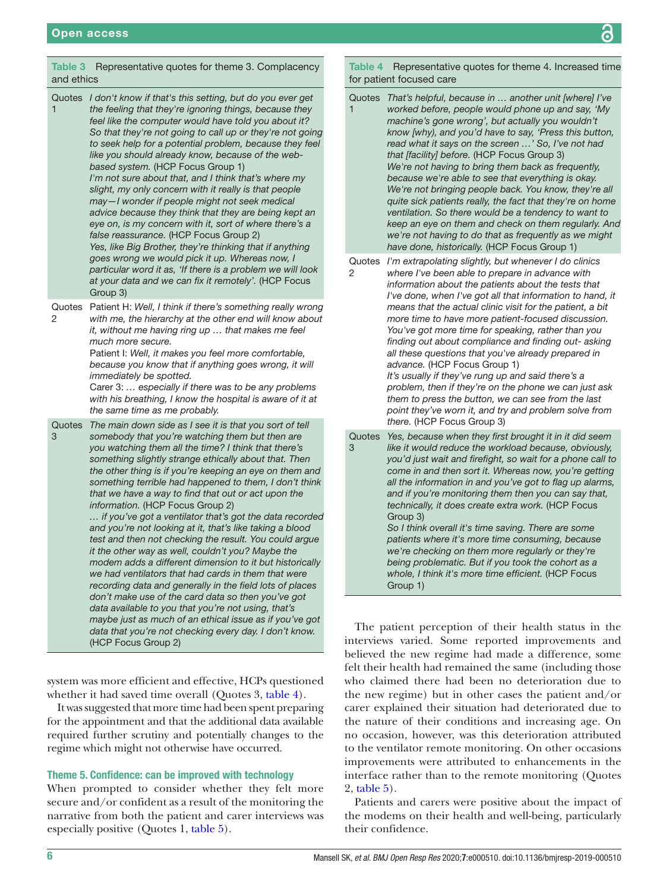<span id="page-5-0"></span>

| Table 3<br>and ethics  | Representative quotes for theme 3. Complacency                                                                                                                                                                                                                                                                                                                                                                                                                                                                                                                                                                                                                                                                                                                                                                                                                                                                                                                                                                                                                                                                           |
|------------------------|--------------------------------------------------------------------------------------------------------------------------------------------------------------------------------------------------------------------------------------------------------------------------------------------------------------------------------------------------------------------------------------------------------------------------------------------------------------------------------------------------------------------------------------------------------------------------------------------------------------------------------------------------------------------------------------------------------------------------------------------------------------------------------------------------------------------------------------------------------------------------------------------------------------------------------------------------------------------------------------------------------------------------------------------------------------------------------------------------------------------------|
| Quotes<br>$\mathbf{1}$ | I don't know if that's this setting, but do you ever get<br>the feeling that they're ignoring things, because they<br>feel like the computer would have told you about it?<br>So that they're not going to call up or they're not going<br>to seek help for a potential problem, because they feel<br>like you should already know, because of the web-<br>based system. (HCP Focus Group 1)<br>I'm not sure about that, and I think that's where my<br>slight, my only concern with it really is that people<br>may-I wonder if people might not seek medical<br>advice because they think that they are being kept an<br>eye on, is my concern with it, sort of where there's a<br>false reassurance. (HCP Focus Group 2)<br>Yes, like Big Brother, they're thinking that if anything<br>goes wrong we would pick it up. Whereas now, I<br>particular word it as, 'If there is a problem we will look<br>at your data and we can fix it remotely'. (HCP Focus<br>Group 3)                                                                                                                                              |
| Quotes<br>2            | Patient H: Well, I think if there's something really wrong<br>with me, the hierarchy at the other end will know about<br>it, without me having ring up  that makes me feel<br>much more secure.<br>Patient I: Well, it makes you feel more comfortable,<br>because you know that if anything goes wrong, it will<br>immediately be spotted.<br>Carer 3:  especially if there was to be any problems<br>with his breathing, I know the hospital is aware of it at<br>the same time as me probably.                                                                                                                                                                                                                                                                                                                                                                                                                                                                                                                                                                                                                        |
| Quotes<br>3            | The main down side as I see it is that you sort of tell<br>somebody that you're watching them but then are<br>you watching them all the time? I think that there's<br>something slightly strange ethically about that. Then<br>the other thing is if you're keeping an eye on them and<br>something terrible had happened to them, I don't think<br>that we have a way to find that out or act upon the<br>information. (HCP Focus Group 2)<br>if you've got a ventilator that's got the data recorded<br>and you're not looking at it, that's like taking a blood<br>test and then not checking the result. You could argue<br>it the other way as well, couldn't you? Maybe the<br>modem adds a different dimension to it but historically<br>we had ventilators that had cards in them that were<br>recording data and generally in the field lots of places<br>don't make use of the card data so then you've got<br>data available to you that you're not using, that's<br>maybe just as much of an ethical issue as if you've got<br>data that you're not checking every day. I don't know.<br>(HCP Focus Group 2) |

system was more efficient and effective, HCPs questioned whether it had saved time overall (Quotes 3, [table](#page-5-1) 4).

It was suggested that more time had been spent preparing for the appointment and that the additional data available required further scrutiny and potentially changes to the regime which might not otherwise have occurred.

# Theme 5. Confidence: can be improved with technology

When prompted to consider whether they felt more secure and/or confident as a result of the monitoring the narrative from both the patient and carer interviews was especially positive (Quotes 1, [table](#page-6-0) 5).

<span id="page-5-1"></span>Table 4 Representative quotes for theme 4. Increased time for patient focused care

Quotes *That's helpful, because in … another unit [where] I've*  1 *worked before, people would phone up and say, 'My machine's gone wrong', but actually you wouldn't know [why), and you'd have to say, 'Press this button, read what it says on the screen …' So, I've not had that [facility] before.* (HCP Focus Group 3) *We're not having to bring them back as frequently, because we're able to see that everything is okay. We're not bringing people back. You know, they're all quite sick patients really, the fact that they're on home ventilation. So there would be a tendency to want to keep an eye on them and check on them regularly. And we're not having to do that as frequently as we might have done, historically.* (HCP Focus Group 1)

Quotes *I'm extrapolating slightly, but whenever I do clinics where I've been able to prepare in advance with* 

 $\mathcal{D}$ 

*information about the patients about the tests that I've done, when I've got all that information to hand, it means that the actual clinic visit for the patient, a bit more time to have more patient-focused discussion. You've got more time for speaking, rather than you finding out about compliance and finding out- asking all these questions that you've already prepared in advance.* (HCP Focus Group 1) *It's usually if they've rung up and said there's a problem, then if they're on the phone we can just ask them to press the button, we can see from the last point they've worn it, and try and problem solve from there.* (HCP Focus Group 3)

Quotes *Yes, because when they first brought it in it did seem*  3 *like it would reduce the workload because, obviously, you'd just wait and firefight, so wait for a phone call to come in and then sort it. Whereas now, you're getting all the information in and you've got to flag up alarms, and if you're monitoring them then you can say that, technically, it does create extra work.* (HCP Focus Group 3) *So I think overall it's time saving. There are some patients where it's more time consuming, because we're checking on them more regularly or they're* 

*being problematic. But if you took the cohort as a whole, I think it's more time efficient.* (HCP Focus Group 1)

The patient perception of their health status in the interviews varied. Some reported improvements and believed the new regime had made a difference, some felt their health had remained the same (including those who claimed there had been no deterioration due to the new regime) but in other cases the patient and/or carer explained their situation had deteriorated due to the nature of their conditions and increasing age. On no occasion, however, was this deterioration attributed to the ventilator remote monitoring. On other occasions improvements were attributed to enhancements in the interface rather than to the remote monitoring (Quotes 2, [table](#page-6-0) 5).

Patients and carers were positive about the impact of the modems on their health and well-being, particularly their confidence.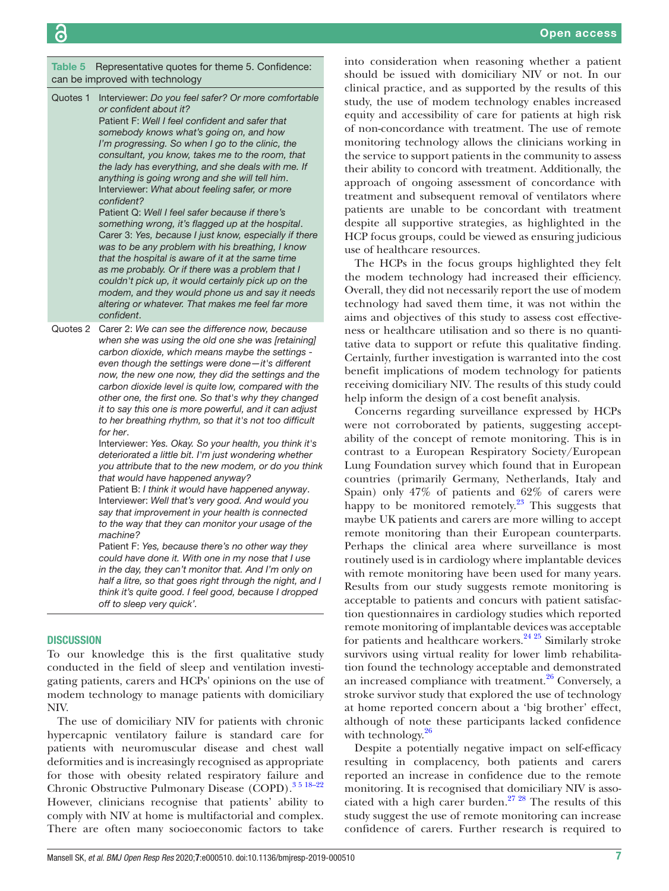# <span id="page-6-0"></span>Table 5 Representative quotes for theme 5. Confidence: can be improved with technology

| Quotes 1 | Interviewer: Do you feel safer? Or more comfortable<br>or confident about it?<br>Patient F: Well I feel confident and safer that<br>somebody knows what's going on, and how<br>I'm progressing. So when I go to the clinic, the<br>consultant, you know, takes me to the room, that<br>the lady has everything, and she deals with me. If<br>anything is going wrong and she will tell him.<br>Interviewer: What about feeling safer, or more<br>confident?<br>Patient Q: Well I feel safer because if there's<br>something wrong, it's flagged up at the hospital.<br>Carer 3: Yes, because I just know, especially if there<br>was to be any problem with his breathing, I know<br>that the hospital is aware of it at the same time<br>as me probably. Or if there was a problem that I<br>couldn't pick up, it would certainly pick up on the<br>modem, and they would phone us and say it needs<br>altering or whatever. That makes me feel far more<br>confident. |
|----------|-------------------------------------------------------------------------------------------------------------------------------------------------------------------------------------------------------------------------------------------------------------------------------------------------------------------------------------------------------------------------------------------------------------------------------------------------------------------------------------------------------------------------------------------------------------------------------------------------------------------------------------------------------------------------------------------------------------------------------------------------------------------------------------------------------------------------------------------------------------------------------------------------------------------------------------------------------------------------|
|          | Quotes 2 Carer 2: IN/e can see the difference now because                                                                                                                                                                                                                                                                                                                                                                                                                                                                                                                                                                                                                                                                                                                                                                                                                                                                                                               |

Quotes 2 Carer 2: *We can see the difference now, because when she was using the old one she was [retaining] carbon dioxide, which means maybe the settings even though the settings were done—it's different now, the new one now, they did the settings and the carbon dioxide level is quite low, compared with the other one, the first one. So that's why they changed it to say this one is more powerful, and it can adjust to her breathing rhythm, so that it's not too difficult for her*.

> Interviewer: *Yes. Okay. So your health, you think it's deteriorated a little bit. I'm just wondering whether you attribute that to the new modem, or do you think that would have happened anyway?*

Patient B: *I think it would have happened anyway*. Interviewer: *Well that's very good. And would you say that improvement in your health is connected to the way that they can monitor your usage of the machine?*

Patient F: *Yes, because there's no other way they could have done it. With one in my nose that I use in the day, they can't monitor that. And I'm only on half a litre, so that goes right through the night, and I think it's quite good. I feel good, because I dropped off to sleep very quick'.*

### **DISCUSSION**

To our knowledge this is the first qualitative study conducted in the field of sleep and ventilation investigating patients, carers and HCPs' opinions on the use of modem technology to manage patients with domiciliary NIV.

The use of domiciliary NIV for patients with chronic hypercapnic ventilatory failure is standard care for patients with neuromuscular disease and chest wall deformities and is increasingly recognised as appropriate for those with obesity related respiratory failure and Chronic Obstructive Pulmonary Disease (COPD).<sup>[3 5 18–22](#page-8-8)</sup> However, clinicians recognise that patients' ability to comply with NIV at home is multifactorial and complex. There are often many socioeconomic factors to take

into consideration when reasoning whether a patient should be issued with domiciliary NIV or not. In our clinical practice, and as supported by the results of this study, the use of modem technology enables increased equity and accessibility of care for patients at high risk of non-concordance with treatment. The use of remote monitoring technology allows the clinicians working in the service to support patients in the community to assess their ability to concord with treatment. Additionally, the approach of ongoing assessment of concordance with treatment and subsequent removal of ventilators where patients are unable to be concordant with treatment despite all supportive strategies, as highlighted in the HCP focus groups, could be viewed as ensuring judicious use of healthcare resources.

The HCPs in the focus groups highlighted they felt the modem technology had increased their efficiency. Overall, they did not necessarily report the use of modem technology had saved them time, it was not within the aims and objectives of this study to assess cost effectiveness or healthcare utilisation and so there is no quantitative data to support or refute this qualitative finding. Certainly, further investigation is warranted into the cost benefit implications of modem technology for patients receiving domiciliary NIV. The results of this study could help inform the design of a cost benefit analysis.

Concerns regarding surveillance expressed by HCPs were not corroborated by patients, suggesting acceptability of the concept of remote monitoring. This is in contrast to a European Respiratory Society/European Lung Foundation survey which found that in European countries (primarily Germany, Netherlands, Italy and Spain) only 47% of patients and 62% of carers were happy to be monitored remotely. $^{23}$  This suggests that maybe UK patients and carers are more willing to accept remote monitoring than their European counterparts. Perhaps the clinical area where surveillance is most routinely used is in cardiology where implantable devices with remote monitoring have been used for many years. Results from our study suggests remote monitoring is acceptable to patients and concurs with patient satisfaction questionnaires in cardiology studies which reported remote monitoring of implantable devices was acceptable for patients and healthcare workers. $24\frac{24}{5}$  Similarly stroke survivors using virtual reality for lower limb rehabilitation found the technology acceptable and demonstrated an increased compliance with treatment.<sup>26</sup> Conversely, a stroke survivor study that explored the use of technology at home reported concern about a 'big brother' effect, although of note these participants lacked confidence with technology.<sup>[26](#page-8-11)</sup>

Despite a potentially negative impact on self-efficacy resulting in complacency, both patients and carers reported an increase in confidence due to the remote monitoring. It is recognised that domiciliary NIV is associated with a high carer burden.<sup>27</sup> <sup>28</sup> The results of this study suggest the use of remote monitoring can increase confidence of carers. Further research is required to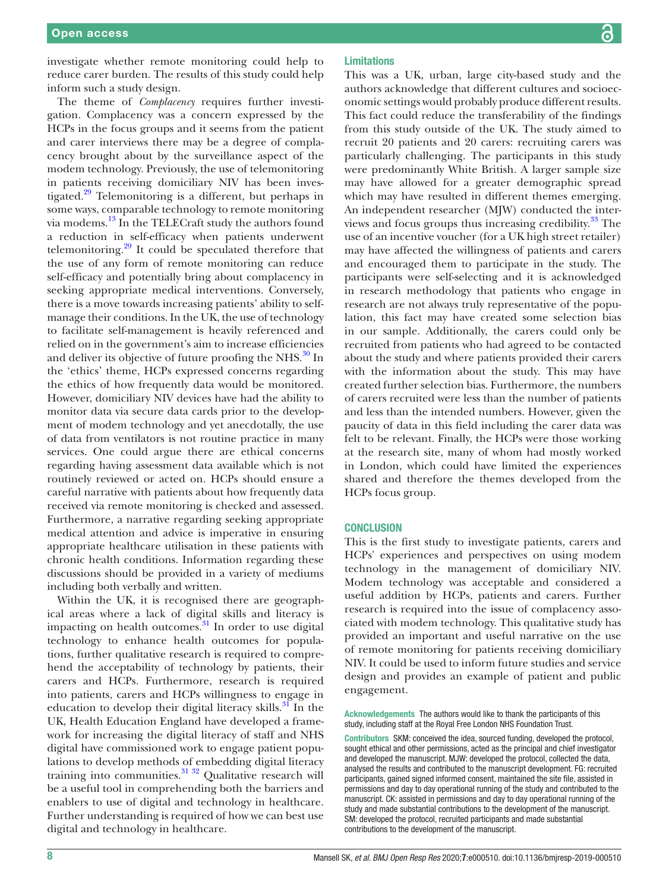investigate whether remote monitoring could help to reduce carer burden. The results of this study could help inform such a study design.

The theme of *Complacency* requires further investigation. Complacency was a concern expressed by the HCPs in the focus groups and it seems from the patient and carer interviews there may be a degree of complacency brought about by the surveillance aspect of the modem technology. Previously, the use of telemonitoring in patients receiving domiciliary NIV has been investigated.[29](#page-8-13) Telemonitoring is a different, but perhaps in some ways, comparable technology to remote monitoring via modems[.13](#page-8-14) In the TELECraft study the authors found a reduction in self-efficacy when patients underwent telemonitoring[.29](#page-8-13) It could be speculated therefore that the use of any form of remote monitoring can reduce self-efficacy and potentially bring about complacency in seeking appropriate medical interventions. Conversely, there is a move towards increasing patients' ability to selfmanage their conditions. In the UK, the use of technology to facilitate self-management is heavily referenced and relied on in the government's aim to increase efficiencies and deliver its objective of future proofing the NHS. $^{30}$  $^{30}$  $^{30}$  In the 'ethics' theme, HCPs expressed concerns regarding the ethics of how frequently data would be monitored. However, domiciliary NIV devices have had the ability to monitor data via secure data cards prior to the development of modem technology and yet anecdotally, the use of data from ventilators is not routine practice in many services. One could argue there are ethical concerns regarding having assessment data available which is not routinely reviewed or acted on. HCPs should ensure a careful narrative with patients about how frequently data received via remote monitoring is checked and assessed. Furthermore, a narrative regarding seeking appropriate medical attention and advice is imperative in ensuring appropriate healthcare utilisation in these patients with chronic health conditions. Information regarding these discussions should be provided in a variety of mediums including both verbally and written.

Within the UK, it is recognised there are geographical areas where a lack of digital skills and literacy is impacting on health outcomes. $31$  In order to use digital technology to enhance health outcomes for populations, further qualitative research is required to comprehend the acceptability of technology by patients, their carers and HCPs. Furthermore, research is required into patients, carers and HCPs willingness to engage in education to develop their digital literacy skills.<sup>31</sup> In the UK, Health Education England have developed a framework for increasing the digital literacy of staff and NHS digital have commissioned work to engage patient populations to develop methods of embedding digital literacy training into communities.<sup>31 32</sup> Qualitative research will be a useful tool in comprehending both the barriers and enablers to use of digital and technology in healthcare. Further understanding is required of how we can best use digital and technology in healthcare.

# Limitations

This was a UK, urban, large city-based study and the authors acknowledge that different cultures and socioeconomic settings would probably produce different results. This fact could reduce the transferability of the findings from this study outside of the UK. The study aimed to recruit 20 patients and 20 carers: recruiting carers was particularly challenging. The participants in this study were predominantly White British. A larger sample size may have allowed for a greater demographic spread which may have resulted in different themes emerging. An independent researcher (MJW) conducted the interviews and focus groups thus increasing credibility.<sup>33</sup> The use of an incentive voucher (for a UK high street retailer) may have affected the willingness of patients and carers and encouraged them to participate in the study. The participants were self-selecting and it is acknowledged in research methodology that patients who engage in research are not always truly representative of the population, this fact may have created some selection bias in our sample. Additionally, the carers could only be recruited from patients who had agreed to be contacted about the study and where patients provided their carers with the information about the study. This may have created further selection bias. Furthermore, the numbers of carers recruited were less than the number of patients and less than the intended numbers. However, given the paucity of data in this field including the carer data was felt to be relevant. Finally, the HCPs were those working at the research site, many of whom had mostly worked in London, which could have limited the experiences shared and therefore the themes developed from the HCPs focus group.

#### **CONCLUSION**

This is the first study to investigate patients, carers and HCPs' experiences and perspectives on using modem technology in the management of domiciliary NIV. Modem technology was acceptable and considered a useful addition by HCPs, patients and carers. Further research is required into the issue of complacency associated with modem technology. This qualitative study has provided an important and useful narrative on the use of remote monitoring for patients receiving domiciliary NIV. It could be used to inform future studies and service design and provides an example of patient and public engagement.

Acknowledgements The authors would like to thank the participants of this study, including staff at the Royal Free London NHS Foundation Trust.

Contributors SKM: conceived the idea, sourced funding, developed the protocol, sought ethical and other permissions, acted as the principal and chief investigator and developed the manuscript. MJW: developed the protocol, collected the data, analysed the results and contributed to the manuscript development. FG: recruited participants, gained signed informed consent, maintained the site file, assisted in permissions and day to day operational running of the study and contributed to the manuscript. CK: assisted in permissions and day to day operational running of the study and made substantial contributions to the development of the manuscript. SM: developed the protocol, recruited participants and made substantial contributions to the development of the manuscript.